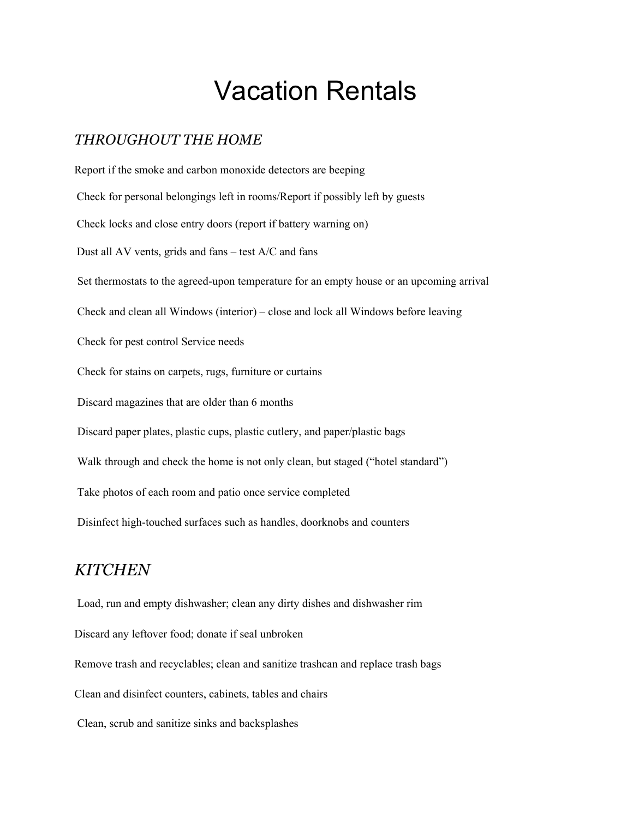# Vacation Rentals

### *THROUGHOUT THE HOME*

Report if the smoke and carbon monoxide detectors are beeping Check for personal belongings left in rooms/Report if possibly left by guests Check locks and close entry doors (report if battery warning on) Dust all AV vents, grids and fans – test A/C and fans Set thermostats to the agreed-upon temperature for an empty house or an upcoming arrival Check and clean all Windows (interior) – close and lock all Windows before leaving Check for pest control Service needs Check for stains on carpets, rugs, furniture or curtains Discard magazines that are older than 6 months Discard paper plates, plastic cups, plastic cutlery, and paper/plastic bags Walk through and check the home is not only clean, but staged ("hotel standard") Take photos of each room and patio once service completed Disinfect high-touched surfaces such as handles, doorknobs and counters

# *KITCHEN*

Load, run and empty dishwasher; clean any dirty dishes and dishwasher rim Discard any leftover food; donate if seal unbroken Remove trash and recyclables; clean and sanitize trashcan and replace trash bags Clean and disinfect counters, cabinets, tables and chairs Clean, scrub and sanitize sinks and backsplashes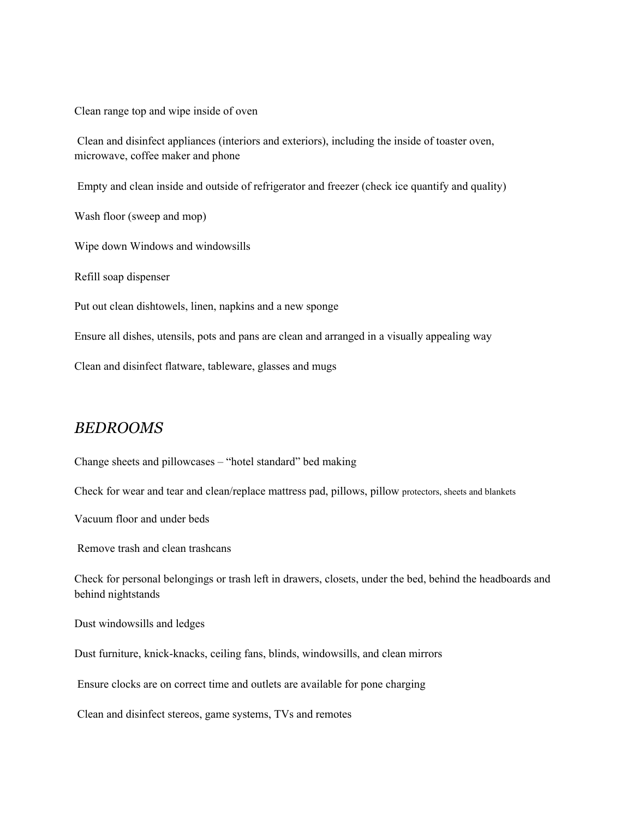Clean range top and wipe inside of oven

Clean and disinfect appliances (interiors and exteriors), including the inside of toaster oven, microwave, coffee maker and phone

Empty and clean inside and outside of refrigerator and freezer (check ice quantify and quality)

Wash floor (sweep and mop)

Wipe down Windows and windowsills

Refill soap dispenser

Put out clean dishtowels, linen, napkins and a new sponge

Ensure all dishes, utensils, pots and pans are clean and arranged in a visually appealing way

Clean and disinfect flatware, tableware, glasses and mugs

#### *BEDROOMS*

Change sheets and pillowcases – "hotel standard" bed making

Check for wear and tear and clean/replace mattress pad, pillows, pillow protectors, sheets and blankets

Vacuum floor and under beds

Remove trash and clean trashcans

Check for personal belongings or trash left in drawers, closets, under the bed, behind the headboards and behind nightstands

Dust windowsills and ledges

Dust furniture, knick-knacks, ceiling fans, blinds, windowsills, and clean mirrors

Ensure clocks are on correct time and outlets are available for pone charging

Clean and disinfect stereos, game systems, TVs and remotes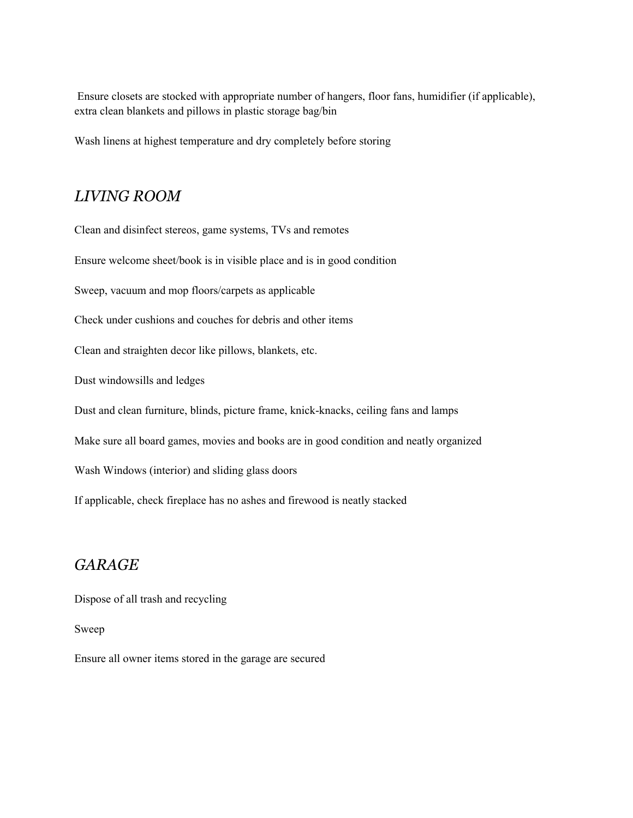Ensure closets are stocked with appropriate number of hangers, floor fans, humidifier (if applicable), extra clean blankets and pillows in plastic storage bag/bin

Wash linens at highest temperature and dry completely before storing

## *LIVING ROOM*

Clean and disinfect stereos, game systems, TVs and remotes

Ensure welcome sheet/book is in visible place and is in good condition

Sweep, vacuum and mop floors/carpets as applicable

Check under cushions and couches for debris and other items

Clean and straighten decor like pillows, blankets, etc.

Dust windowsills and ledges

Dust and clean furniture, blinds, picture frame, knick-knacks, ceiling fans and lamps

Make sure all board games, movies and books are in good condition and neatly organized

Wash Windows (interior) and sliding glass doors

If applicable, check fireplace has no ashes and firewood is neatly stacked

## *GARAGE*

Dispose of all trash and recycling

Sweep

Ensure all owner items stored in the garage are secured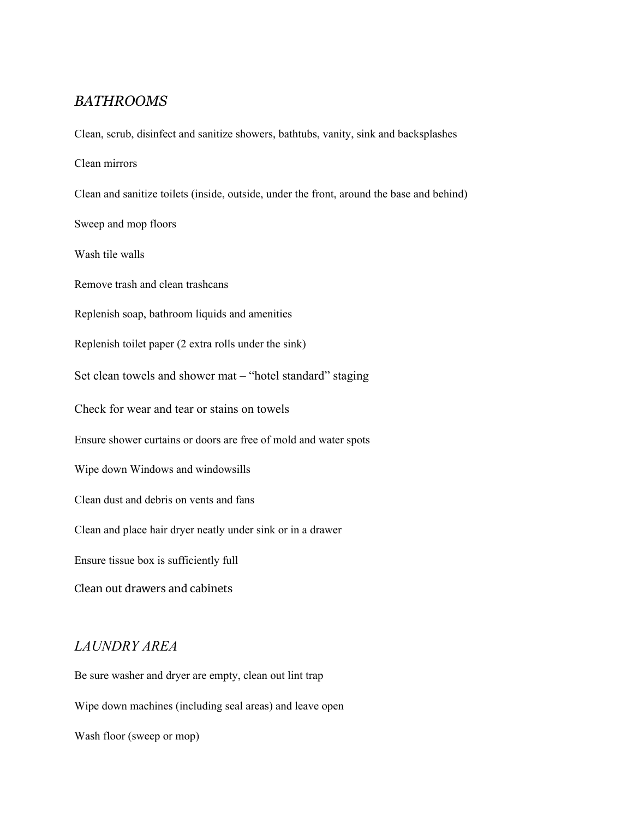#### *BATHROOMS*

Clean, scrub, disinfect and sanitize showers, bathtubs, vanity, sink and backsplashes

Clean mirrors

Clean and sanitize toilets (inside, outside, under the front, around the base and behind)

Sweep and mop floors

Wash tile walls

Remove trash and clean trashcans

Replenish soap, bathroom liquids and amenities

Replenish toilet paper (2 extra rolls under the sink)

Set clean towels and shower mat – "hotel standard" staging

Check for wear and tear or stains on towels

Ensure shower curtains or doors are free of mold and water spots

Wipe down Windows and windowsills

Clean dust and debris on vents and fans

Clean and place hair dryer neatly under sink or in a drawer

Ensure tissue box is sufficiently full

Clean out drawers and cabinets

#### *LAUNDRY AREA*

Be sure washer and dryer are empty, clean out lint trap Wipe down machines (including seal areas) and leave open Wash floor (sweep or mop)